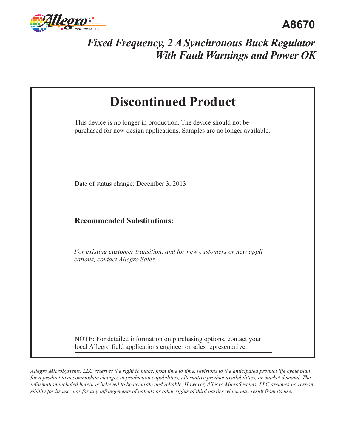

| <b>Discontinued Product</b>                                                                                                                 |
|---------------------------------------------------------------------------------------------------------------------------------------------|
| This device is no longer in production. The device should not be<br>purchased for new design applications. Samples are no longer available. |
| Date of status change: December 3, 2013                                                                                                     |
| <b>Recommended Substitutions:</b>                                                                                                           |
| For existing customer transition, and for new customers or new appli-<br>cations, contact Allegro Sales.                                    |
| NOTE: For detailed information on purchasing options, contact your<br>local Allegro field applications engineer or sales representative.    |

*Allegro MicroSystems, LLC reserves the right to make, from time to time, revisions to the anticipated product life cycle plan for a product to accommodate changes in production capabilities, alternative product availabilities, or market demand. The information included herein is believed to be accurate and reliable. However, Allegro MicroSystems, LLC assumes no responsibility for its use; nor for any infringements of patents or other rights of third parties which may result from its use.*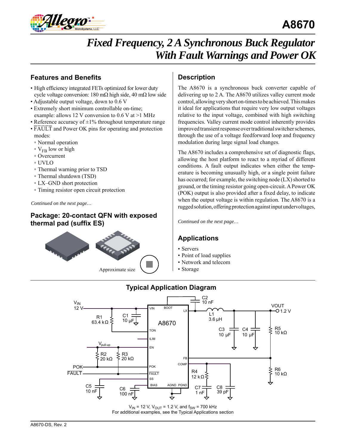

### **Features and Benefits**

- High efficiency integrated FETs optimized for lower duty cycle voltage conversion: 180 mΩ high side, 40 mΩ low side
- Adjustable output voltage, down to 0.6 V
- Extremely short minimum controllable on-time; example: allows 12 V conversion to 0.6 V at >1 MHz
- Reference accuracy of  $\pm 1\%$  throughout temperature range
- $\cdot$  FAULT and Power OK pins for operating and protection modes:
- Normal operation
- $\rm v_{\rm FB}$  low or high
- Overcurrent
- UVLO
- Thermal warning prior to TSD
- Thermal shutdown (TSD)
- LX–GND short protection
- Timing resistor open circuit protection

*Continued on the next page…*

### **Package: 20-contact QFN with exposed thermal pad (suffix ES)**



### **Description**

The A8670 is a synchronous buck converter capable of delivering up to 2 A. The A8670 utilizes valley current mode control, allowing very short on-times to be achieved. This makes it ideal for applications that require very low output voltages relative to the input voltage, combined with high switching frequencies. Valley current mode control inherently provides improved transient response over traditional switcher schemes, through the use of a voltage feedforward loop and frequency modulation during large signal load changes.

The A8670 includes a comprehensive set of diagnostic flags, allowing the host platform to react to a myriad of different conditions. A fault output indicates when either the temperature is becoming unusually high, or a single point failure has occurred; for example, the switching node (LX) shorted to ground, or the timing resistor going open-circuit. A Power OK (POK) output is also provided after a fixed delay, to indicate when the output voltage is within regulation. The A8670 is a rugged solution, offering protection against input undervoltages,

*Continued on the next page…*

### **Applications**

- Servers
- Point of load supplies
- Network and telecom
- Storage



 $V_{1N}$  = 12 V,  $V_{OUT}$  = 1.2 V, and  $f_{SW}$  = 700 kHz For additional examples, see the Typical Applications section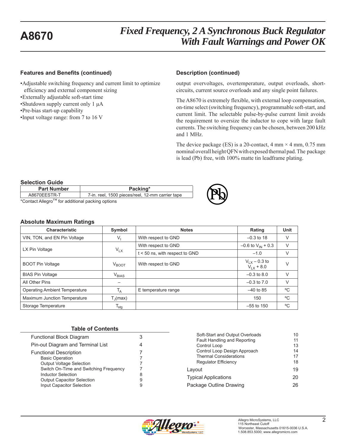### **Features and Benefits (continued) Description (continued)**

- •Adjustable switching frequency and current limit to optimize
- efficiency and external component sizing
- •Externally adjustable soft-start time •Shutdown supply current only 1 μA
- •Pre-bias start-up capability
- •Input voltage range: from 7 to 16 V

output overvoltages, overtemperature, output overloads, shortcircuits, current source overloads and any single point failures.

The A8670 is extremely flexible, with external loop compensation, on-time select (switching frequency), programmable soft-start, and current limit. The selectable pulse-by-pulse current limit avoids the requirement to oversize the inductor to cope with large fault currents. The switching frequency can be chosen, between 200 kHz and 1 MHz.

The device package (ES) is a 20-contact, 4 mm  $\times$  4 mm, 0.75 mm nominal overall height QFN with exposed thermal pad. The package is lead (Pb) free, with 100% matte tin leadframe plating.

#### **Selection Guide**

| <b>Part Number</b>                                            | Packing*                                         |  |  |  |  |  |
|---------------------------------------------------------------|--------------------------------------------------|--|--|--|--|--|
| A8670EESTR-T                                                  | 7-in. reel, 1500 pieces/reel, 12-mm carrier tape |  |  |  |  |  |
| *Contact Allegro <sup>TM</sup> for additional packing options |                                                  |  |  |  |  |  |

**Absolute Maximum Ratings**

| <b>Characteristic</b>                | Symbol            | <b>Notes</b>                     | Rating                              | Unit         |
|--------------------------------------|-------------------|----------------------------------|-------------------------------------|--------------|
| VIN, TON, and EN Pin Voltage         | $V_{1}$           | With respect to GND              | $-0.3$ to 18                        | V            |
|                                      |                   | With respect to GND              | $-0.6$ to $V_{IN}$ + 0.3            | $\vee$       |
| LX Pin Voltage                       | $V_{LX}$          | $t < 50$ ns, with respect to GND | $-1.0$                              | V            |
| <b>BOOT Pin Voltage</b>              | $V_{BOOT}$        | With respect to GND              | $V_{LX}$ – 0.3 to<br>$V_{1x}$ + 8.0 | $\vee$       |
| <b>BIAS Pin Voltage</b>              | $V_{BIAS}$        |                                  | $-0.3$ to 8.0                       | V            |
| All Other Pins                       |                   |                                  | $-0.3$ to $7.0$                     | V            |
| <b>Operating Ambient Temperature</b> | $T_A$             | E temperature range              | $-40$ to 85                         | °C           |
| Maximum Junction Temperature         | $T_{\rm d}$ (max) |                                  | 150                                 | $^{\circ}$ C |
| Storage Temperature                  | $T_{\text{stg}}$  |                                  | $-55$ to 150                        | °C           |

| <b>Table of Contents</b>               |   |                                                                 |    |
|----------------------------------------|---|-----------------------------------------------------------------|----|
| <b>Functional Block Diagram</b>        |   | Soft-Start and Output Overloads<br>Fault Handling and Reporting | 10 |
| Pin-out Diagram and Terminal List      |   | Control Loop                                                    | 13 |
| <b>Functional Description</b>          |   | Control Loop Design Approach                                    | 14 |
| <b>Basic Operation</b>                 |   | <b>Thermal Considerations</b>                                   |    |
| <b>Output Voltage Selection</b>        |   | <b>Regulator Efficiency</b>                                     | 18 |
| Switch On-Time and Switching Frequency |   | Lavout                                                          | 19 |
| Inductor Selection                     |   | <b>Typical Applications</b>                                     | 20 |
| <b>Output Capacitor Selection</b>      |   |                                                                 |    |
| Input Capacitor Selection              | 9 | Package Outline Drawing                                         | 26 |

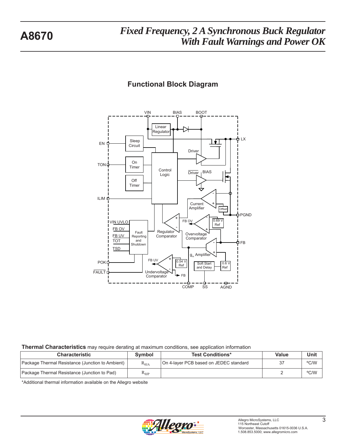### **Functional Block Diagram**



#### **Thermal Characteristics** may require derating at maximum conditions, see application information

| <b>Characteristic</b>                            | <b>Symbol</b>   | <b>Test Conditions*</b>                | Value | Unit |
|--------------------------------------------------|-----------------|----------------------------------------|-------|------|
| Package Thermal Resistance (Junction to Ambient) | $R_{\theta JA}$ | On 4-layer PCB based on JEDEC standard | -37   | °C/W |
| Package Thermal Resistance (Junction to Pad)     | $R_{0JP}$       |                                        |       | °C/W |

\*Additional thermal information available on the Allegro website

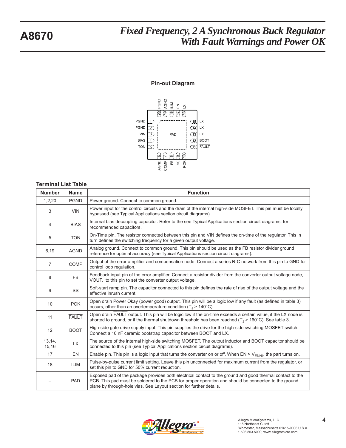#### **Pin-out Diagram**



#### **Terminal List Table**

| <b>Number</b>   | <b>Name</b>  | <b>Function</b>                                                                                                                                                                                                                                                                          |
|-----------------|--------------|------------------------------------------------------------------------------------------------------------------------------------------------------------------------------------------------------------------------------------------------------------------------------------------|
| 1,2,20          | <b>PGND</b>  | Power ground. Connect to common ground.                                                                                                                                                                                                                                                  |
| 3               | <b>VIN</b>   | Power input for the control circuits and the drain of the internal high-side MOSFET. This pin must be locally<br>bypassed (see Typical Applications section circuit diagrams).                                                                                                           |
| 4               | <b>BIAS</b>  | Internal bias decoupling capacitor. Refer to the see Typical Applications section circuit diagrams, for<br>recommended capacitors.                                                                                                                                                       |
| 5               | <b>TON</b>   | On-Time pin. The resistor connected between this pin and VIN defines the on-time of the regulator. This in<br>turn defines the switching frequency for a given output voltage.                                                                                                           |
| 6,19            | <b>AGND</b>  | Analog ground. Connect to common ground. This pin should be used as the FB resistor divider ground<br>reference for optimal accuracy (see Typical Applications section circuit diagrams).                                                                                                |
| $\overline{7}$  | COMP         | Output of the error amplifier and compensation node. Connect a series R-C network from this pin to GND for<br>control loop regulation.                                                                                                                                                   |
| 8               | <b>FB</b>    | Feedback input pin of the error amplifier. Connect a resistor divider from the converter output voltage node,<br>VOUT, to this pin to set the converter output voltage.                                                                                                                  |
| 9               | SS           | Soft-start ramp pin. The capacitor connected to this pin defines the rate of rise of the output voltage and the<br>effective inrush current.                                                                                                                                             |
| 10              | <b>POK</b>   | Open drain Power Okay (power good) output. This pin will be a logic low if any fault (as defined in table 3)<br>occurs, other than an overtemperature condition ( $T_1$ > 140°C).                                                                                                        |
| 11              | <b>FAULT</b> | Open drain FAULT output. This pin will be logic low if the on-time exceeds a certain value, if the LX node is<br>shorted to ground, or if the thermal shutdown threshold has been reached $(T_1 > 160^{\circ}C)$ . See table 3.                                                          |
| 12              | <b>BOOT</b>  | High-side gate drive supply input. This pin supplies the drive for the high-side switching MOSFET switch.<br>Connect a 10 nF ceramic bootstrap capacitor between BOOT and LX.                                                                                                            |
| 13,14,<br>15,16 | LX.          | The source of the internal high-side switching MOSFET. The output inductor and BOOT capacitor should be<br>connected to this pin (see Typical Applications section circuit diagrams).                                                                                                    |
| 17              | EN           | Enable pin. This pin is a logic input that turns the converter on or off. When $EN > V_{ENHI}$ , the part turns on.                                                                                                                                                                      |
| 18              | <b>ILIM</b>  | Pulse-by-pulse current limit setting. Leave this pin unconnected for maximum current from the regulator, or<br>set this pin to GND for 50% current reduction.                                                                                                                            |
|                 | <b>PAD</b>   | Exposed pad of the package provides both electrical contact to the ground and good thermal contact to the<br>PCB. This pad must be soldered to the PCB for proper operation and should be connected to the ground<br>plane by through-hole vias. See Layout section for further details. |

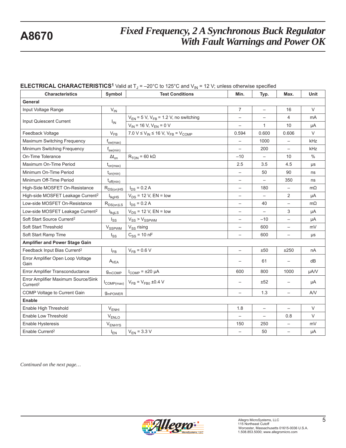### **ELECTRICAL CHARACTERISTICS<sup>1</sup>** Valid at T<sub>J</sub> = -20°C to 125°C and V<sub>IN</sub> = 12 V; unless otherwise specified

| <b>Characteristics</b>                                      | Symbol<br><b>Test Conditions</b> |                                                                               | Min.                     | Typ.                     | Max.                     | Unit      |
|-------------------------------------------------------------|----------------------------------|-------------------------------------------------------------------------------|--------------------------|--------------------------|--------------------------|-----------|
| General                                                     |                                  |                                                                               |                          |                          |                          |           |
| Input Voltage Range                                         | $V_{IN}$                         |                                                                               | $\overline{7}$           | $\qquad \qquad -$        | 16                       | V         |
|                                                             |                                  | $V_{EN}$ = 5 V, $V_{FB}$ = 1.2 V, no switching                                | $\overline{\phantom{0}}$ |                          | 4                        | mA        |
| Input Quiescent Current                                     | $I_{IN}$                         | $V_{IN}$ = 16 V, $V_{EN}$ = 0 V                                               |                          | $\mathbf{1}$             | 10                       | μA        |
| Feedback Voltage                                            | $V_{FB}$                         | 7.0 V $\leq$ V <sub>IN</sub> $\leq$ 16 V, V <sub>FB</sub> = V <sub>COMP</sub> | 0.594                    | 0.600                    | 0.606                    | V         |
| Maximum Switching Frequency                                 | $f_{sw(max)}$                    |                                                                               | $\overline{\phantom{0}}$ | 1000                     |                          | kHz       |
| Minimum Switching Frequency                                 | $f_{sw(min)}$                    |                                                                               |                          | 200                      |                          | kHz       |
| On-Time Tolerance                                           | $\Delta t_{on}$                  | $R_{TON}$ = 60 k $\Omega$                                                     | $-10$                    | $\overline{\phantom{0}}$ | 10                       | $\%$      |
| Maximum On-Time Period                                      | $t_{on(max)}$                    |                                                                               | 2.5                      | 3.5                      | 4.5                      | μs        |
| Minimum On-Time Period                                      | $t_{on(min)}$                    |                                                                               |                          | 50                       | 90                       | ns        |
| Minimum Off-Time Period                                     | $t_{off(\underline{min})}$       |                                                                               | $\overline{\phantom{0}}$ |                          | 350                      | ns        |
| High-Side MOSFET On-Resistance                              | $R_{DS(on)HS}$                   | $I_{DS} = 0.2 A$                                                              |                          | 180                      |                          | $m\Omega$ |
| High-side MOSFET Leakage Current <sup>2</sup>               | $I_{IkgHS}$                      | $V_{DS}$ = 12 V, EN = low                                                     | $\overline{\phantom{a}}$ | $\qquad \qquad -$        | 2                        | μA        |
| Low-side MOSFET On-Resistance                               | $R_{DS(on)LS}$                   | $I_{DS} = 0.2 A$                                                              | $\qquad \qquad -$        | 40                       |                          | $m\Omega$ |
| Low-side MOSFET Leakage Current <sup>2</sup>                | $I_{lkgLS}$                      | $V_{DS}$ = 12 V, EN = low                                                     |                          |                          | 3                        | μA        |
| Soft Start Source Current <sup>2</sup>                      | $I_{SS}$                         | $V_{SS}$ > $V_{SSPWM}$                                                        | $\overline{\phantom{0}}$ | $-10$                    | $\overline{\phantom{0}}$ | μA        |
| Soft Start Threshold                                        | $V_{SSPWM}$                      | $V_{SS}$ rising                                                               |                          | 600                      |                          | mV        |
| Soft Start Ramp Time                                        | $t_{SS}$                         | $C_{SS}$ = 10 nF                                                              |                          | 600                      |                          | μs        |
| Amplifier and Power Stage Gain                              |                                  |                                                                               |                          |                          |                          |           |
| Feedback Input Bias Current <sup>2</sup>                    | $I_{FB}$                         | $V_{FB} = 0.6 V$                                                              | $\overline{\phantom{0}}$ | ±50                      | ±250                     | nA        |
| Error Amplifier Open Loop Voltage<br>Gain                   | $A_{VEA}$                        |                                                                               |                          | 61                       |                          | dB        |
| Error Amplifier Transconductance                            | <b>9mCOMP</b>                    | $I_{\text{COMP}} = \pm 20 \mu A$                                              | 600                      | 800                      | 1000                     | µA/V      |
| Error Amplifier Maximum Source/Sink<br>Current <sup>2</sup> | $I_{COMP(max)}$                  | $V_{FB} = V_{FB0} \pm 0.4 V$                                                  |                          | ±52                      |                          | μA        |
| COMP Voltage to Current Gain                                | <b>9mPOWER</b>                   |                                                                               | $\overline{\phantom{0}}$ | 1.3                      | $\overline{\phantom{0}}$ | AV        |
| Enable                                                      |                                  |                                                                               |                          |                          |                          |           |
| Enable High Threshold                                       | $V_{ENHL}$                       |                                                                               | 1.8                      | $\qquad \qquad -$        |                          | $\vee$    |
| Enable Low Threshold                                        | $V_{ENLO}$                       |                                                                               | $\overline{\phantom{0}}$ | $\qquad \qquad -$        | 0.8                      | $\vee$    |
| Enable Hysteresis                                           | $V_{ENHYS}$                      |                                                                               | 150                      | 250                      |                          | mV        |
| Enable Current <sup>2</sup>                                 | $I_{EN}$                         | $V_{EN}$ = 3.3 V                                                              | $\overline{\phantom{m}}$ | 50                       |                          | μA        |

*Continued on the next page…*

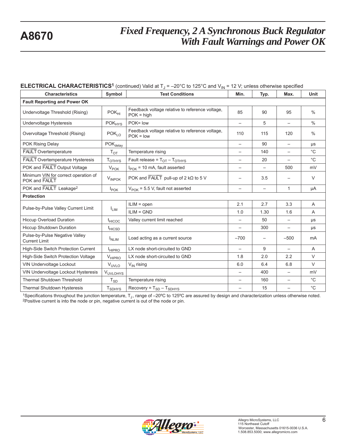### **ELECTRICAL CHARACTERISTICS<sup>1</sup>** (continued) Valid at  $T_J = -20^{\circ}C$  to 125°C and V<sub>IN</sub> = 12 V; unless otherwise specified

| <b>Characteristics</b>                                 | Symbol<br><b>Test Conditions</b> |                                                                 | Min.                     | Typ.                     | Max.                     | <b>Unit</b>    |
|--------------------------------------------------------|----------------------------------|-----------------------------------------------------------------|--------------------------|--------------------------|--------------------------|----------------|
| <b>Fault Reporting and Power OK</b>                    |                                  |                                                                 |                          |                          |                          |                |
| Undervoltage Threshold (Rising)                        | POK <sub>HI</sub>                | Feedback voltage relative to reference voltage,<br>$POK = high$ | 85                       | 90                       | 95                       | $\frac{0}{0}$  |
| Undervoltage Hysteresis                                | $\mathsf{POK}_{\mathsf{HYS}}$    | POK= low                                                        | $\overline{\phantom{0}}$ | 5                        |                          | $\frac{0}{0}$  |
| Overvoltage Threshold (Rising)                         | POK <sub>LO</sub>                | Feedback voltage relative to reference voltage,<br>$POK = low$  | 110                      | 115                      | 120                      | $\frac{0}{0}$  |
| POK Rising Delay                                       | $POK_{delay}$                    |                                                                 | $\overline{\phantom{0}}$ | 90                       |                          | μs             |
| <b>FAULT</b> Overtemperature                           | $T_{\text{OT}}$                  | Temperature rising                                              |                          | 140                      |                          | $^{\circ}C$    |
| <b>FAULT</b> Overtemperature Hysteresis                | $T_{\text{OTHYS}}$               | Fault release = $T_{OT} - T_{OTHYS}$                            |                          | 20                       |                          | $^{\circ}C$    |
| POK and FAULT Output Voltage                           | $V_{PO\underline{K}}$            | $I_{\text{POK}}$ = 10 mA, fault asserted                        |                          | $\overline{\phantom{0}}$ | 500                      | mV             |
| Minimum VIN for correct operation of<br>POK and FAULT  | $V_{INPOK}$                      | POK and $\overline{FAULT}$ pull-up of 2 k $\Omega$ to 5 V       | $\overline{\phantom{0}}$ | 3.5                      |                          | $\vee$         |
| POK and FAULT Leakage <sup>2</sup>                     | $I_{\text{POK}}$                 | $V_{\text{POK}}$ = 5.5 V, fault not asserted                    | $\overline{\phantom{0}}$ | $\overline{\phantom{0}}$ | 1                        | μA             |
| <b>Protection</b>                                      |                                  |                                                                 |                          |                          |                          |                |
| Pulse-by-Pulse Valley Current Limit                    |                                  | $ILIM = open$                                                   | 2.1                      | 2.7                      | 3.3                      | $\overline{A}$ |
|                                                        | <sup>I</sup> LIM                 | $ILIM = GND$                                                    | 1.0                      | 1.30                     | 1.6                      | A              |
| <b>Hiccup Overload Duration</b>                        | <sup>t</sup> HICOC               | Valley current limit reached                                    |                          | 50                       |                          | $\mu s$        |
| <b>Hiccup Shutdown Duration</b>                        | $t_{HICSD}$                      |                                                                 |                          | 300                      |                          | μs             |
| Pulse-by-Pulse Negative Valley<br><b>Current Limit</b> | I <sub>NLM</sub>                 | Load acting as a current source                                 | $-700$                   |                          | $-500$                   | <b>mA</b>      |
| High-Side Switch Protection Current                    | <b>HIPRO</b>                     | LX node short-circuited to GND                                  | $\overline{\phantom{0}}$ | 9                        | $\overline{\phantom{0}}$ | $\overline{A}$ |
| High-Side Switch Protection Voltage                    | V <sub>HIPRO</sub>               | LX node short-circuited to GND                                  | 1.8                      | 2.0                      | 2.2                      | $\vee$         |
| <b>VIN Undervoltage Lockout</b>                        | V <sub>UVLO</sub>                | V <sub>IN</sub> rising                                          | 6.0                      | 6.4                      | 6.8                      | $\vee$         |
| VIN Undervoltage Lockout Hysteresis                    | <b>VUVLOHYS</b>                  |                                                                 |                          | 400                      | $\qquad \qquad -$        | mV             |
| <b>Thermal Shutdown Threshold</b>                      | $T_{SD}$                         | Temperature rising                                              | $\overline{\phantom{0}}$ | 160                      |                          | $^{\circ}$ C   |
| Thermal Shutdown Hysteresis                            | T <sub>SDHYS</sub>               | $Recovery = T_{SD} - T_{SDHYS}$                                 |                          | 15                       |                          | $^{\circ}$ C   |

<sup>1</sup>Specifications throughout the junction temperature,  $T_J$ , range of  $-20^{\circ}$ C to 125°C are assured by design and characterization unless otherwise noted.<br><sup>2</sup>Positive current is into the node or pin, negative current is

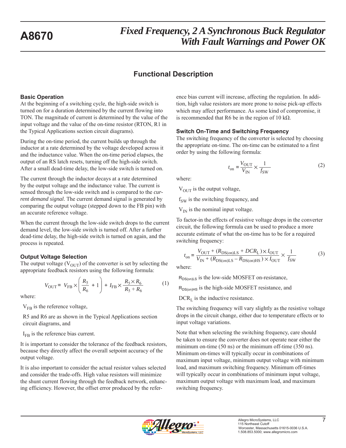### **Functional Description**

### **Basic Operation**

At the beginning of a switching cycle, the high-side switch is turned on for a duration determined by the current flowing into TON. The magnitude of current is determined by the value of the input voltage and the value of the on-time resistor (RTON, R1 in the Typical Applications section circuit diagrams).

During the on-time period, the current builds up through the inductor at a rate determined by the voltage developed across it and the inductance value. When the on-time period elapses, the output of an RS latch resets, turning off the high-side switch. After a small dead-time delay, the low-side switch is turned on.

The current through the inductor decays at a rate determined by the output voltage and the inductance value. The current is sensed through the low-side switch and is compared to the *current demand signal*. The current demand signal is generated by comparing the output voltage (stepped down to the FB pin) with an accurate reference voltage.

When the current through the low-side switch drops to the current demand level, the low-side switch is turned off. After a further dead-time delay, the high-side switch is turned on again, and the process is repeated.

### **Output Voltage Selection**

The output voltage  $(V_{OUT})$  of the converter is set by selecting the appropriate feedback resistors using the following formula:

$$
V_{\text{OUT}} = V_{\text{FB}} \times \left(\frac{R_5}{R_6} + 1\right) + I_{\text{FB}} \times \frac{R_5 \times R_6}{R_5 + R_6} \tag{1}
$$

where:

 $V_{FB}$  is the reference voltage,

R5 and R6 are as shown in the Typical Applications section circuit diagrams, and

 $I_{FB}$  is the reference bias current.

It is important to consider the tolerance of the feedback resistors, because they directly affect the overall setpoint accuracy of the output voltage.

It is also important to consider the actual resistor values selected and consider the trade-offs. High value resistors will minimize the shunt current flowing through the feedback network, enhancing efficiency. However, the offset error produced by the refer-

ence bias current will increase, affecting the regulation. In addition, high value resistors are more prone to noise pick-up effects which may affect performance. As some kind of compromise, it is recommended that R6 be in the region of 10 k $\Omega$ .

#### **Switch On-Time and Switching Frequency**

The switching frequency of the converter is selected by choosing the appropriate on-time. The on-time can be estimated to a first order by using the following formula:

$$
t_{\rm on} = \frac{V_{\rm OUT}}{V_{\rm IN}} \times \frac{1}{f_{\rm SW}}\tag{2}
$$

where:

 $V_{\text{OUT}}$  is the output voltage,

 $f<sub>SW</sub>$  is the switching frequency, and

 $V_{IN}$  is the nominal input voltage.

To factor-in the effects of resistive voltage drops in the converter circuit, the following formula can be used to produce a more accurate estimate of what the on-time has to be for a required switching frequency:

$$
t_{\rm on} = \frac{V_{\rm OUT} + (R_{\rm DS(m)LS} + DCR_{\rm L}) \times I_{\rm OUT}}{V_{\rm IN} + (R_{\rm DS(m)LS} - R_{\rm DS(m)HS}) \times I_{\rm OUT}} \times \frac{1}{f_{\rm SW}}
$$
(3)

where:

 $R_{DS(0)}$  is the low-side MOSFET on-resistance,

 $R_{DS(0)}$ Hs is the high-side MOSFET resistance, and

 $DCR<sub>L</sub>$  is the inductive resistance.

The switching frequency will vary slightly as the resistive voltage drops in the circuit change, either due to temperature effects or to input voltage variations.

Note that when selecting the switching frequency, care should be taken to ensure the converter does not operate near either the minimum on-time (50 ns) or the minimum off-time (350 ns). Minimum on-times will typically occur in combinations of maximum input voltage, minimum output voltage with minimum load, and maximum switching frequency. Minimum off-times will typically occur in combinations of minimum input voltage, maximum output voltage with maximum load, and maximum switching frequency.

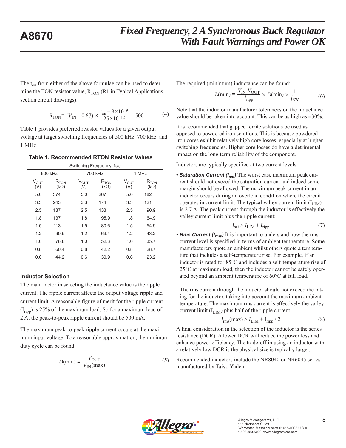The  $t_{on}$  from either of the above formulae can be used to determine the TON resistor value,  $R_{TON}$  (R1 in Typical Applications section circuit drawings):

$$
R_{\text{TON}} = (V_{\text{IN}} - 0.67) \times \frac{t_{\text{on}} - 8 \times 10^{-9}}{25 \times 10^{-12}} - 500 \tag{4}
$$

Table 1 provides preferred resistor values for a given output voltage at target switching frequencies of 500 kHz, 700 kHz, and 1 MHz:

|                  | Switching Frequency, f <sub>SW</sub> |                  |                          |                  |                          |  |  |  |
|------------------|--------------------------------------|------------------|--------------------------|------------------|--------------------------|--|--|--|
|                  | 500 kHz                              |                  | 700 kHz                  |                  | 1 MHz                    |  |  |  |
| $V_{OUT}$<br>(V) | $R_{TON}$<br>$(k\Omega)$             | $V_{OUT}$<br>(V) | $R_{TON}$<br>$(k\Omega)$ | $V_{OUT}$<br>(V) | $R_{TON}$<br>$(k\Omega)$ |  |  |  |
| 5.0              | 374                                  | 5.0              | 267                      | 5.0              | 182                      |  |  |  |
| 3.3              | 243                                  | 3.3              | 174                      | 3.3              | 121                      |  |  |  |
| 2.5              | 187                                  | 2.5              | 133                      | 2.5              | 90.9                     |  |  |  |
| 1.8              | 137                                  | 1.8              | 95.9                     | 1.8              | 64.9                     |  |  |  |
| 1.5              | 113                                  | 1.5              | 80.6                     | 1.5              | 54.9                     |  |  |  |
| 1.2              | 90.9                                 | 1.2              | 63.4                     | 1.2              | 43.2                     |  |  |  |
| 1.0              | 76.8                                 | 1.0              | 52.3                     | 1.0              | 35.7                     |  |  |  |
| 0.8              | 60.4                                 | 0.8              | 42.2                     | 0.8              | 28.7                     |  |  |  |
| 0.6              | 44.2                                 | 0.6              | 30.9                     | 0.6              | 23.2                     |  |  |  |

**Table 1. Recommended RTON Resistor Values**

### **Inductor Selection**

The main factor in selecting the inductance value is the ripple current. The ripple current affects the output voltage ripple and current limit. A reasonable figure of merit for the ripple current  $(I_{\text{ripp}})$  is 25% of the maximum load. So for a maximum load of 2 A, the peak-to-peak ripple current should be 500 mA.

The maximum peak-to-peak ripple current occurs at the maximum input voltage. To a reasonable approximation, the minimum duty cycle can be found:

$$
D(\min) = \frac{V_{\text{OUT}}}{V_{\text{IN}}(\max)}\tag{5}
$$

The required (minimum) inductance can be found:

$$
L(\min) = \frac{V_{\text{IN}} - V_{\text{OUT}}}{I_{\text{ripp}}} \times D(\min) \times \frac{1}{f_{\text{SW}}} \tag{6}
$$

Note that the inductor manufacturer tolerances on the inductance value should be taken into account. This can be as high as  $\pm 30\%$ .

It is recommended that gapped ferrite solutions be used as opposed to powdered iron solutions. This is because powdered iron cores exhibit relatively high core losses, especially at higher switching frequencies. Higher core losses do have a detrimental impact on the long term reliability of the component.

Inductors are typically specified at two current levels:

• **Saturation Current (I<sub>sat</sub>)** The worst case maximum peak current should not exceed the saturation current and indeed some margin should be allowed. The maximum peak current in an inductor occurs during an overload condition where the circuit operates in current limit. The typical valley current limit  $(I_{LIM})$ is 2.7 A. The peak current through the inductor is effectively the valley current limit plus the ripple current:

$$
I_{\text{sat}} > I_{\text{LIM}} + I_{\text{ripp}} \tag{7}
$$

• *Rms Current (I<sub>rms</sub>)* It is important to understand how the rms current level is specified in terms of ambient temperature. Some manufacturers quote an ambient whilst others quote a temperature that includes a self-temperature rise. For example, if an inductor is rated for 85°C and includes a self-temperature rise of 25°C at maximum load, then the inductor cannot be safely operated beyond an ambient temperature of 60°C at full load.

The rms current through the inductor should not exceed the rating for the inductor, taking into account the maximum ambient temperature. The maximum rms current is effectively the valley current limit  $(I_{LIM})$  plus half of the ripple current:

$$
I_{\rm rms}(\text{max}) > I_{\rm LIM} + I_{\rm ripp} / 2
$$
 (8)

A final consideration in the selection of the inductor is the series resistance (DCR). A lower DCR will reduce the power loss and enhance power efficiency. The trade-off in using an inductor with a relatively low DCR is the physical size is typically larger.

Recommended inductors include the NR8040 or NR6045 series manufactured by Taiyo Yuden.

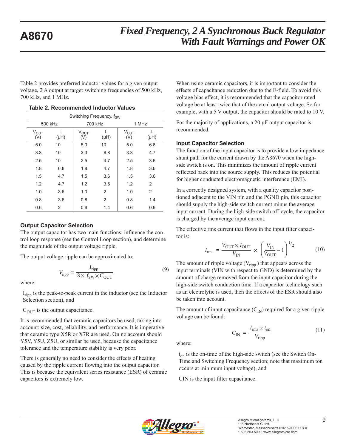Table 2 provides preferred inductor values for a given output voltage, 2 A output at target switching frequencies of 500 kHz, 700 kHz, and 1 MHz.

|                         | Switching Frequency, f <sub>SW</sub> |                  |                |                  |      |  |  |  |
|-------------------------|--------------------------------------|------------------|----------------|------------------|------|--|--|--|
|                         | 500 kHz                              |                  | 700 kHz        | 1 MHz            |      |  |  |  |
| $V_{\text{OUT}}$<br>(V) | $(H\cup$                             | $V_{OUT}$<br>(V) | (HH)           | $V_{OUT}$<br>(V) | (HH) |  |  |  |
| 5.0                     | 10                                   | 5.0              | 10             | 5.0              | 6.8  |  |  |  |
| 3.3                     | 10                                   | 3.3              | 6.8            | 3.3              | 4.7  |  |  |  |
| 2.5                     | 10                                   | 2.5              | 4.7            | 2.5              | 3.6  |  |  |  |
| 1.8                     | 6.8                                  | 1.8              | 4.7            | 1.8              | 3.6  |  |  |  |
| 1.5                     | 4.7                                  | 1.5              | 3.6            | 1.5              | 3.6  |  |  |  |
| 1.2                     | 4.7                                  | 1.2              | 3.6            | 1.2              | 2    |  |  |  |
| 1.0                     | 3.6                                  | 1.0              | 2              | 1.0              | 2    |  |  |  |
| 0.8                     | 3.6                                  | 0.8              | $\overline{2}$ | 0.8              | 1.4  |  |  |  |
| 0.6                     | 2                                    | 0.6              | 1.4            | 0.6              | 0.9  |  |  |  |

**Table 2. Recommended Inductor Values**

### **Output Capacitor Selection**

The output capacitor has two main functions: influence the control loop response (see the Control Loop section), and determine the magnitude of the output voltage ripple.

The output voltage ripple can be approximated to:

$$
V_{\text{ripp}} = \frac{I_{\text{ripp}}}{8 \times f_{\text{SW}} \times C_{\text{OUT}}}
$$
(9)

where:

I<sub>ripp</sub> is the peak-to-peak current in the inductor (see the Inductor Selection section), and

 $C_{\text{OUT}}$  is the output capacitance.

It is recommended that ceramic capacitors be used, taking into account: size, cost, reliability, and performance. It is imperative that ceramic type X5R or X7R are used. On no account should Y5V, Y5U, Z5U, or similar be used, because the capacitance tolerance and the temperature stability is very poor.

There is generally no need to consider the effects of heating caused by the ripple current flowing into the output capacitor. This is because the equivalent series resistance (ESR) of ceramic capacitors is extremely low.

When using ceramic capacitors, it is important to consider the effects of capacitance reduction due to the E-field. To avoid this voltage bias effect, it is recommended that the capacitor rated voltage be at least twice that of the actual output voltage. So for example, with a 5 V output, the capacitor should be rated to 10 V.

For the majority of applications, a 20 μF output capacitor is recommended.

### **Input Capacitor Selection**

The function of the input capacitor is to provide a low impedance shunt path for the current drawn by the A8670 when the highside switch is on. This minimizes the amount of ripple current reflected back into the source supply. This reduces the potential for higher conducted electromagnetic interference (EMI).

In a correctly designed system, with a quality capacitor positioned adjacent to the VIN pin and the PGND pin, this capacitor should supply the high-side switch current minus the average input current. During the high-side switch off-cycle, the capacitor is charged by the average input current.

The effective rms current that flows in the input filter capacitor is:

$$
I_{\rm rms} = \frac{V_{\rm OUT} \times I_{\rm OUT}}{V_{\rm IN}} \times \left(\frac{V_{\rm IN}}{V_{\rm OUT}} - 1\right)^{1/2} \tag{10}
$$

The amount of ripple voltage  $(V_{\text{ripp}})$  that appears across the input terminals (VIN with respect to GND) is determined by the amount of charge removed from the input capacitor during the high-side switch conduction time. If a capacitor technology such as an electrolytic is used, then the effects of the ESR should also be taken into account.

The amount of input capacitance  $(C_{\text{IN}})$  required for a given ripple voltage can be found:

$$
C_{\rm IN} = \frac{I_{\rm rms} \times t_{\rm on}}{V_{\rm ripp}}\tag{11}
$$

where:

t<sub>on</sub> is the on-time of the high-side switch (see the Switch On-Time and Switching Frequency section; note that maximum ton occurs at minimum input voltage), and

CIN is the input filter capacitance.

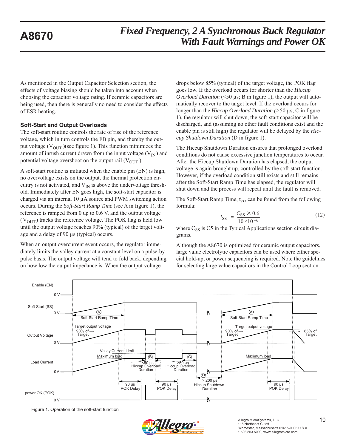As mentioned in the Output Capacitor Selection section, the effects of voltage biasing should be taken into account when choosing the capacitor voltage rating. If ceramic capacitors are being used, then there is generally no need to consider the effects of ESR heating.

### **Soft-Start and Output Overloads**

The soft-start routine controls the rate of rise of the reference voltage, which in turn controls the FB pin, and thereby the output voltage ( $V_{\text{OUT}}$ )(see figure 1). This function minimizes the amount of inrush current drawn from the input voltage  $(V_{\text{IN}})$  and potential voltage overshoot on the output rail  $(V<sub>OUT</sub>)$ .

A soft-start routine is initiated when the enable pin (EN) is high, no overvoltage exists on the output, the thermal protection circuitry is not activated, and  $V_{IN}$  is above the undervoltage threshold. Immediately after EN goes high, the soft-start capacitor is charged via an internal 10 μA source and PWM switching action occurs. During the *Soft-Start Ramp Time* (see A in figure 1), the reference is ramped from 0 up to 0.6 V, and the output voltage  $(V<sub>OUT</sub>)$  tracks the reference voltage. The POK flag is held low until the output voltage reaches 90% (typical) of the target voltage and a delay of 90 μs (typical) occurs.

When an output overcurrent event occurs, the regulator immediately limits the valley current at a constant level on a pulse-by pulse basis. The output voltage will tend to fold back, depending on how low the output impedance is. When the output voltage

drops below 85% (typical) of the target voltage, the POK flag goes low. If the overload occurs for shorter than the *Hiccup Overload Duration* (<50 μs; B in figure 1), the output will automatically recover to the target level. If the overload occurs for longer than the *Hiccup Overload Duration (>*50 μs; C in figure 1), the regulator will shut down, the soft-start capacitor will be discharged, and (assuming no other fault conditions exist and the enable pin is still high) the regulator will be delayed by the *Hiccup Shutdown Duration* (D in figure 1).

The Hiccup Shutdown Duration ensures that prolonged overload conditions do not cause excessive junction temperatures to occur. After the Hiccup Shutdown Duration has elapsed, the output voltage is again brought up, controlled by the soft-start function. However, if the overload condition still exists and still remains after the Soft-Start Ramp Time has elapsed, the regulator will shut down and the process will repeat until the fault is removed.

The Soft-Start Ramp Time,  $t_{ss}$ , can be found from the following formula:

$$
t_{\rm SS} = \frac{C_{\rm SS} \times 0.6}{10 \times 10^{-6}}
$$
 (12)

where  $C_{SS}$  is C5 in the Typical Applications section circuit diagrams.

Although the A8670 is optimized for ceramic output capacitors, large value electrolytic capacitors can be used where either special hold-up, or power sequencing is required. Note the guidelines for selecting large value capacitors in the Control Loop section.



Figure 1. Operation of the soft-start function

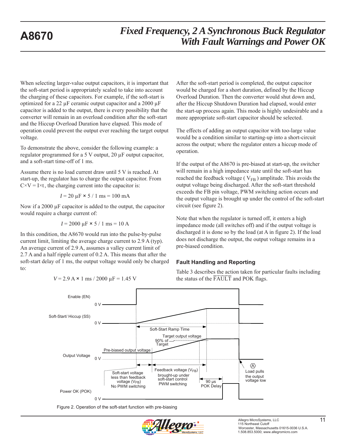When selecting larger-value output capacitors, it is important that the soft-start period is appropriately scaled to take into account the charging of these capacitors. For example, if the soft-start is optimized for a 22 μF ceramic output capacitor and a 2000 μF capacitor is added to the output, there is every possibility that the converter will remain in an overload condition after the soft-start and the Hiccup Overload Duration have elapsed. This mode of operation could prevent the output ever reaching the target output voltage.

To demonstrate the above, consider the following example: a regulator programmed for a 5 V output, 20 μF output capacitor, and a soft-start time-off of 1 ms.

Assume there is no load current draw until 5 V is reached. At start-up, the regulator has to charge the output capacitor. From  $C \times V = I \times t$ , the charging current into the capacitor is:

$$
I = 20 \mu F \times 5 / 1 \text{ ms} = 100 \text{ mA}
$$

Now if a 2000 μF capacitor is added to the output, the capacitor would require a charge current of:

$$
I = 2000 \mu F \times 5 / 1 ms = 10 A
$$

In this condition, the A8670 would run into the pulse-by-pulse current limit, limiting the average charge current to 2.9 A (typ). An average current of 2.9 A, assumes a valley current limit of 2.7 A and a half ripple current of 0.2 A. This means that after the soft-start delay of 1 ms, the output voltage would only be charged to:

> 90% of Target  $\overline{90}$  μs POK Delay Soft-start voltage less than feedback voltage (V<sub>FB</sub>) No PWM switching Enable (EN) Soft-Start/ Hiccup (SS) Output Voltage  $0<sub>V</sub>$  $0<sup>0</sup>$  $0<sub>V</sub>$ Soft-Start Ramp Time Target output voltage Pre-biased output voltage Feedback voltage  $(V_{FB})$ brought-up under soft-start control PWM switching Load pulls the output voltage low  $\langle \overline{A} \rangle$

 $V = 2.9$  A  $\times$  1 ms / 2000  $\mu$ F = 1.45 V

Power OK (POK)

After the soft-start period is completed, the output capacitor would be charged for a short duration, defined by the Hiccup Overload Duration. Then the converter would shut down and, after the Hiccup Shutdown Duration had elapsed, would enter the start-up process again. This mode is highly undesirable and a more appropriate soft-start capacitor should be selected.

The effects of adding an output capacitor with too-large value would be a condition similar to starting-up into a short-circuit across the output; where the regulator enters a hiccup mode of operation.

If the output of the A8670 is pre-biased at start-up, the switcher will remain in a high impedance state until the soft-start has reached the feedback voltage ( $V_{FB}$ ) amplitude. This avoids the output voltage being discharged. After the soft-start threshold exceeds the FB pin voltage, PWM switching action occurs and the output voltage is brought up under the control of the soft-start circuit (see figure 2).

Note that when the regulator is turned off, it enters a high impedance mode (all switches off) and if the output voltage is discharged it is done so by the load (at A in figure 2). If the load does not discharge the output, the output voltage remains in a pre-biased condition.

### **Fault Handling and Reporting**

Table 3 describes the action taken for particular faults including the status of the  $\overline{FAULT}$  and POK flags.



 $0<sup>0</sup>$ 

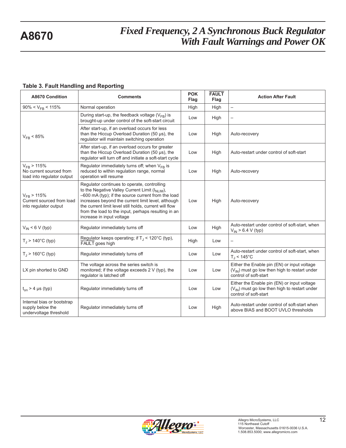### **Table 3. Fault Handling and Reporting**

| <b>A8670 Condition</b>                                                   | <b>Comments</b>                                                                                                                                                                                                                                                                                                                                        | <b>POK</b><br>Flag | <b>FAULT</b><br>Flag | <b>Action After Fault</b>                                                                                                 |
|--------------------------------------------------------------------------|--------------------------------------------------------------------------------------------------------------------------------------------------------------------------------------------------------------------------------------------------------------------------------------------------------------------------------------------------------|--------------------|----------------------|---------------------------------------------------------------------------------------------------------------------------|
| $90\% < V_{FB} < 115\%$                                                  | Normal operation                                                                                                                                                                                                                                                                                                                                       | High               | High                 | $\overline{\phantom{0}}$                                                                                                  |
|                                                                          | During start-up, the feedback voltage $(V_{FB})$ is<br>brought-up under control of the soft-start circuit                                                                                                                                                                                                                                              | Low                | High                 | —                                                                                                                         |
| $V_{FB}$ < 85%                                                           | After start-up, if an overload occurs for less<br>than the Hiccup Overload Duration (50 µs), the<br>regulator will maintain switching operation                                                                                                                                                                                                        | Low                | High                 | Auto-recovery                                                                                                             |
|                                                                          | After start-up, if an overload occurs for greater<br>than the Hiccup Overload Duration (50 µs), the<br>regulator will turn off and initiate a soft-start cycle                                                                                                                                                                                         | Low                | High                 | Auto-restart under control of soft-start                                                                                  |
| $V_{FB}$ > 115%<br>No current sourced from<br>load into regulator output | Regulator immediately turns off; when $V_{FB}$ is<br>reduced to within regulation range, normal<br>operation will resume                                                                                                                                                                                                                               | Low                | High                 | Auto-recovery                                                                                                             |
| $V_{FB}$ > 115%<br>Current sourced from load<br>into regulator output    | Regulator continues to operate, controlling<br>to the Negative Valley Current Limit (INLIM),<br>-600 mA (typ); if the source current from the load<br>increases beyond the current limit level, although<br>the current limit level still holds, current will flow<br>from the load to the input, perhaps resulting in an<br>increase in input voltage | Low                | High                 | Auto-recovery                                                                                                             |
| $V_{IN}$ < 6 V (typ)                                                     | Regulator immediately turns off                                                                                                                                                                                                                                                                                                                        | Low                | High                 | Auto-restart under control of soft-start, when<br>$V_{IN}$ > 6.4 V (typ)                                                  |
| $T_J$ > 140°C (typ)                                                      | Regulator keeps operating; if $T_J$ < 120°C (typ),<br>FAULT goes high                                                                                                                                                                                                                                                                                  | High               | Low                  | $\qquad \qquad -$                                                                                                         |
| $T_{J}$ > 160 $^{\circ}$ C (typ)                                         | Regulator immediately turns off                                                                                                                                                                                                                                                                                                                        | Low                | Low                  | Auto-restart under control of soft-start, when<br>$T_{\rm J}$ < 145°C                                                     |
| LX pin shorted to GND                                                    | The voltage across the series switch is<br>monitored; if the voltage exceeds 2 V (typ), the<br>regulator is latched off                                                                                                                                                                                                                                | Low                | Low                  | Either the Enable pin (EN) or input voltage<br>$(V_{1N})$ must go low then high to restart under<br>control of soft-start |
| $t_{on}$ > 4 µs (typ)                                                    | Regulator immediately turns off                                                                                                                                                                                                                                                                                                                        | Low                | Low                  | Either the Enable pin (EN) or input voltage<br>$(V_{IN})$ must go low then high to restart under<br>control of soft-start |
| Internal bias or bootstrap<br>supply below the<br>undervoltage threshold | Regulator immediately turns off                                                                                                                                                                                                                                                                                                                        | Low                | High                 | Auto-restart under control of soft-start when<br>above BIAS and BOOT UVLO thresholds                                      |

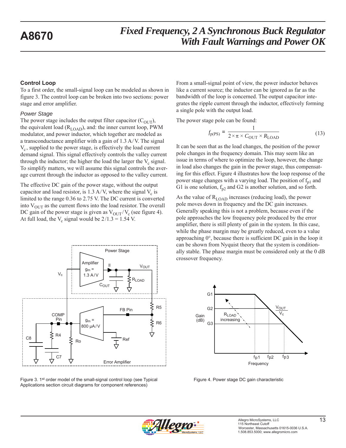### **Control Loop**

To a first order, the small-signal loop can be modeled as shown in figure 3. The control loop can be broken into two sections: power stage and error amplifier.

#### *Power Stage*

The power stage includes the output filter capacitor  $(C_{\text{OUT}})$ , the equivalent load  $(R_{LOAD})$ , and: the inner current loop, PWM modulator, and power inductor, which together are modeled as a transconductance amplifier with a gain of  $1.3 \text{ A/V}$ . The signal  $V_c$ , supplied to the power stage, is effectively the load current demand signal. This signal effectively controls the valley current through the inductor; the higher the load the larger the  $V_c$  signal. To simplify matters, we will assume this signal controls the average current through the inductor as opposed to the valley current.

The effective DC gain of the power stage, without the output capacitor and load resistor, is  $1.3 \text{ A/V}$ , where the signal  $V_c$  is limited to the range 0.36 to 2.75 V. The DC current is converted into  $V_{\text{OUT}}$  as the current flows into the load resistor. The overall DC gain of the power stage is given as  $V_{\text{OUT}}/V_c$  (see figure 4). At full load, the  $V_c$  signal would be  $2/1.3 = 1.54$  V.



Figure 3. 1<sup>st</sup> order model of the small-signal control loop (see Typical Applications section circuit diagrams for component references)

From a small-signal point of view, the power inductor behaves like a current source; the inductor can be ignored as far as the bandwidth of the loop is concerned. The output capacitor integrates the ripple current through the inductor, effectively forming a single pole with the output load.

The power stage pole can be found:

$$
f_{\rm p(PS)} = \frac{1}{2 \times \pi \times C_{\rm OUT} \times R_{\rm LOAD}}\tag{13}
$$

It can be seen that as the load changes, the position of the power pole changes in the frequency domain. This may seem like an issue in terms of where to optimize the loop, however, the change in load also changes the gain in the power stage, thus compensating for this effect. Figure 4 illustrates how the loop response of the power stage changes with a varying load. The position of  $f<sub>n1</sub>$  and G1 is one solution,  $f_{p2}$  and G2 is another solution, and so forth.

As the value of  $R_{LOAD}$  increases (reducing load), the power pole moves down in frequency and the DC gain increases. Generally speaking this is not a problem, because even if the pole approaches the low frequency pole produced by the error amplifier, there is still plenty of gain in the system. In this case, while the phase margin may be greatly reduced, even to a value approaching 0°, because there is sufficient DC gain in the loop it can be shown from Nyquist theory that the system is conditionally stable. The phase margin must be considered only at the 0 dB crossover frequency.



Figure 4. Power stage DC gain characteristic

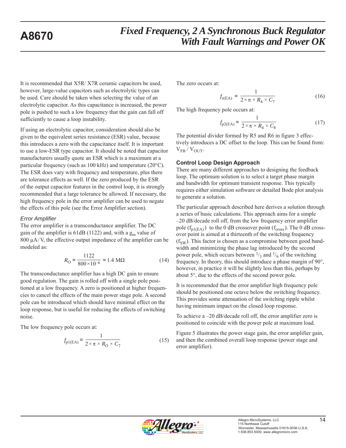It is recommended that X5R/ X7R ceramic capacitors be used, however, large-value capacitors such as electrolytic types can be used. Care should be taken when selecting the value of an electrolytic capacitor. As this capacitance is increased, the power pole is pushed to such a low frequency that the gain can fall off sufficiently to cause a loop instability.

If using an electrolytic capacitor, consideration should also be given to the equivalent series resistance (ESR) value, because this introduces a zero with the capacitance itself. It is important to use a low-ESR type capacitor. It should be noted that capacitor manufacturers usually quote an ESR which is a maximum at a particular frequency (such as 100 kHz) and temperature (20°C). The ESR does vary with frequency and temperature, plus there are tolerance effects as well. If the zero produced by the ESR of the output capacitor features in the control loop, it is strongly recommended that a large tolerance be allowed. If necessary, the high frequency pole in the error amplifier can be used to negate the effects of this pole (see the Error Amplifier section).

### *Error Amplifier*

The error amplifier is a transconductance amplifier. The DC gain of the amplifier is 61dB (1122) and, with a  $g<sub>m</sub>$  value of 800  $\mu$ A/V, the effective output impedance of the amplifier can be modeled as:

$$
R_{\rm O} = \frac{1122}{800 \times 10^{-6}} = 1.4 \text{ M}\Omega \tag{14}
$$

The transconductance amplifier has a high DC gain to ensure good regulation. The gain is rolled off with a single pole positioned at a low frequency. A zero is positioned at higher frequencies to cancel the effects of the main power stage pole. A second pole can be introduced which should have minimal effect on the loop response, but is useful for reducing the effects of switching noise.

The low frequency pole occurs at:

$$
f_{\text{pl}(EA)} = \frac{1}{2 \times \pi \times R_0 \times C_7}
$$
 (15)

The zero occurs at:

$$
f_{\rm z(EA)} = \frac{1}{2 \times \pi \times R_4 \times C_7}
$$
 (16)

The high frequency pole occurs at:

$$
f_{\text{p2(EA)}} = \frac{1}{2 \times \pi \times R_4 \times C_8} \tag{17}
$$

The potential divider formed by R5 and R6 in figure 3 effectively introduces a DC offset to the loop. This can be found from:  $V_{FB} / V_{OUT}$ .

### **Control Loop Design Approach**

There are many different approaches to designing the feedback loop. The optimum solution is to select a target phase margin and bandwidth for optimum transient response. This typically requires either simulation software or detailed Bode plot analysis to generate a solution.

The particular approach described here derives a solution through a series of basic calculations. This approach aims for a simple –20 dB/decade roll off, from the low frequency error amplifier pole  $(f_{p1(EA)})$  to the 0 dB crossover point  $(f_{cross})$ . The 0 dB crossover point is aimed at a thirteenth of the switching frequency  $(f<sub>SW</sub>)$ . This factor is chosen as a compromise between good bandwidth and minimizing the phase lag introduced by the second power pole, which occurs between  $\frac{1}{3}$  and  $\frac{1}{6}$  of the switching frequency. In theory, this should introduce a phase margin of 90°, however, in practice it will be slightly less than this, perhaps by about 5°, due to the effects of the second power pole.

It is recommended that the error amplifier high frequency pole should be positioned one octave below the switching frequency. This provides some attenuation of the switching ripple whilst having minimum impact on the closed loop response.

To achieve a –20 dB/decade roll off, the error amplifier zero is positioned to coincide with the power pole at maximum load.

Figure 5 illustrates the power stage gain, the error amplifier gain, and then the combined overall loop response (power stage and error amplifier).

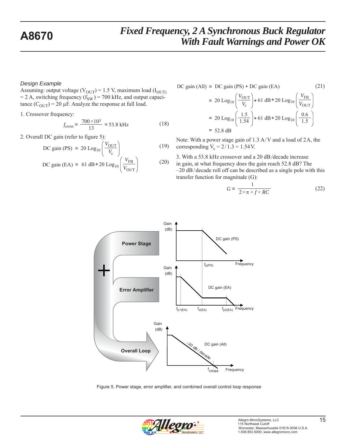### *Design Example*

Assuming: output voltage ( $V_{OUT}$ ) = 1.5 V, maximum load ( $I_{OUT}$ ) = 2 A, switching frequency  $(f_{SW})$  = 700 kHz, and output capacitance  $(C_{\text{OUT}})$  = 20 µF. Analyze the response at full load.

1. Crossover frequency:

$$
f_{\text{cross}} = \frac{700 \times 10^3}{13} = 53.8 \text{ kHz}
$$
 (18)

2. Overall DC gain (refer to figure 5):

DC gain (PS) = 20 Log<sub>10</sub> 
$$
\left(\frac{V_{\text{OUT}}}{V_c}\right)
$$
 (19)

DC gain (EA) = 61 dB + 20 Log<sub>10</sub> 
$$
\left(\frac{V_{FB}}{V_{OUT}}\right)
$$
 (20)

$$
DC gain (All) = DC gain (PS) + DC gain (EA)
$$
 (21)

$$
= 20 \text{ Log}_{10} \left( \frac{V_{\text{OUT}}}{V_{\text{c}}} \right) + 61 \text{ dB} + 20 \text{ Log}_{10} \left( \frac{V_{\text{FB}}}{V_{\text{OUT}}} \right)
$$

$$
= 20 \text{ Log}_{10} \left( \frac{1.5}{1.54} \right) + 61 \text{ dB} + 20 \text{ Log}_{10} \left( \frac{0.6}{1.5} \right)
$$

$$
= 52.8 \text{ dB}
$$

Note: With a power stage gain of 1.3 A/V and a load of 2A, the corresponding  $V_c = 2/1.3 = 1.54$  V.

3. With a 53.8 kHz crossover and a 20 dB /decade increase in gain, at what frequency does the gain reach 52.8 dB? The –20 dB / decade roll off can be described as a single pole with this transfer function for magnitude (G):

$$
G = \frac{1}{2 \times \pi \times f \times RC} \tag{22}
$$



Figure 5. Power stage, error amplifier, and combined overall control loop response

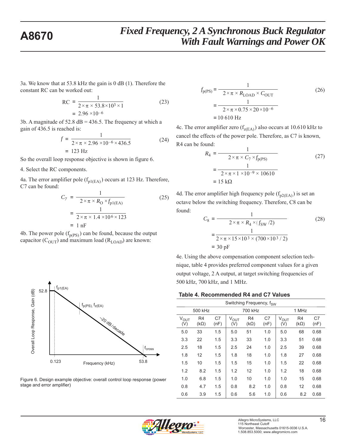3a. We know that at 53.8 kHz the gain is 0 dB (1). Therefore the constant RC can be worked out:

$$
RC = \frac{1}{2 \times \pi \times 53.8 \times 10^3 \times 1}
$$
  
= 2.96 × 10<sup>-6</sup> (23)

3b. A magnitude of  $52.8$  dB = 436.5. The frequency at which a gain of 436.5 is reached is:

$$
f = \frac{1}{2 \times \pi \times 2.96 \times 10^{-6} \times 436.5}
$$
 (24)  
= 123 Hz

So the overall loop response objective is shown in figure 6.

4. Select the RC components.

4a. The error amplifier pole ( $f_{p1(EA)}$ ) occurs at 123 Hz. Therefore, C7 can be found:

$$
C_7 = \frac{1}{2 \times \pi \times R_0 \times f_{\text{pl(EA)}}}
$$
(25)  
=  $\frac{1}{2 \times \pi \times 1.4 \times 10^6 \times 123}$   
= 1 nF

4b. The power pole  $(f_{p(PS)})$  can be found, because the output capacitor ( $C_{\text{OUT}}$ ) and maximum load ( $R_{\text{LOAD}}$ ) are known:



Figure 6. Design example objective: overall control loop response (power stage and error amplifier)

$$
f_{p(PS)} = \frac{1}{2 \times \pi \times R_{\text{LOAD}} \times C_{\text{OUT}}}
$$
\n
$$
= \frac{1}{2 \times \pi \times 0.75 \times 20 \times 10^{-6}}
$$
\n
$$
= 10\,610\,\text{Hz}
$$
\n(26)

4c. The error amplifier zero  $(f_{z(EA)})$  also occurs at 10.610 kHz to cancel the effects of the power pole. Therefore, as C7 is known, R4 can be found:

$$
R_4 = \frac{1}{2 \times \pi \times C_7 \times f_{p(PS)}}
$$
  
= 
$$
\frac{1}{2 \times \pi \times 1 \times 10^{-9} \times 10610}
$$
  
= 15 kΩ

4d. The error amplifier high frequency pole  $(f_{p2(EA)})$  is set an octave below the switching frequency. Therefore, C8 can be found:

$$
C_8 = \frac{1}{2 \times \pi \times R_4 \times (f_{\text{SW}}/2)}
$$
(28)  
= 
$$
\frac{1}{2 \times \pi \times 15 \times 10^3 \times (700 \times 10^3 / 2)}
$$
  
= 30 pF

4e. Using the above compensation component selection technique, table 4 provides preferred component values for a given output voltage, 2 A output, at target switching frequencies of 500 kHz, 700 kHz, and 1 MHz.

#### **Table 4. Recommended R4 and C7 Values**

|                  | Switching Frequency, f <sub>SW</sub> |                        |                  |                               |            |                         |                               |            |  |
|------------------|--------------------------------------|------------------------|------------------|-------------------------------|------------|-------------------------|-------------------------------|------------|--|
| 500 kHz          |                                      |                        |                  | 700 kHz                       |            |                         | 1 MHz                         |            |  |
| $V_{OUT}$<br>(V) | R <sub>4</sub><br>$(k\Omega)$        | C <sub>7</sub><br>(nF) | $V_{OUT}$<br>(V) | R <sub>4</sub><br>$(k\Omega)$ | C7<br>(nF) | $V_{\text{OUT}}$<br>(V) | R <sub>4</sub><br>$(k\Omega)$ | C7<br>(nF) |  |
| 5.0              | 33                                   | 1.5                    | 5.0              | 51                            | 1.0        | 5.0                     | 68                            | 0.68       |  |
| 3.3              | 22                                   | 1.5                    | 3.3              | 33                            | 1.0        | 3.3                     | 51                            | 0.68       |  |
| 2.5              | 18                                   | 1.5                    | 2.5              | 24                            | 1.0        | 2.5                     | 39                            | 0.68       |  |
| 1.8              | 12                                   | 1.5                    | 1.8              | 18                            | 1.0        | 1.8                     | 27                            | 0.68       |  |
| 1.5              | 10                                   | 1.5                    | 1.5              | 15                            | 1.0        | 1.5                     | 22                            | 0.68       |  |
| 1.2              | 8.2                                  | 1.5                    | 1.2              | 12                            | 1.0        | 1.2                     | 18                            | 0.68       |  |
| 1.0              | 6.8                                  | 1.5                    | 1.0              | 10                            | 1.0        | 1.0                     | 15                            | 0.68       |  |
| 0.8              | 4.7                                  | 1.5                    | 0.8              | 8.2                           | 1.0        | 0.8                     | 12                            | 0.68       |  |
| 0.6              | 3.9                                  | 1.5                    | 0.6              | 5.6                           | 1.0        | 0.6                     | 8.2                           | 0.68       |  |

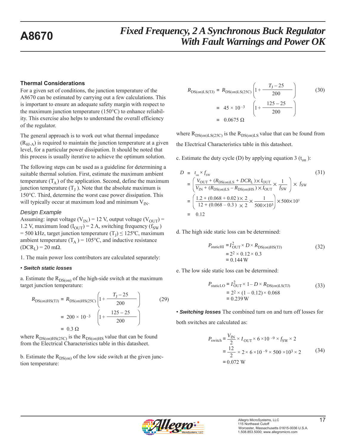### **Thermal Considerations**

For a given set of conditions, the junction temperature of the A8670 can be estimated by carrying out a few calculations. This is important to ensure an adequate safety margin with respect to the maximum junction temperature (150°C) to enhance reliability. This exercise also helps to understand the overall efficiency of the regulator.

The general approach is to work out what thermal impedance  $(R<sub>θI-A</sub>)$  is required to maintain the junction temperature at a given level, for a particular power dissipation. It should be noted that this process is usually iterative to achieve the optimum solution.

The following steps can be used as a guideline for determining a suitable thermal solution. First, estimate the maximum ambient temperature  $(T_A)$  of the application. Second, define the maximum junction temperature  $(T<sub>I</sub>)$ . Note that the absolute maximum is 150°C. Third, determine the worst case power dissipation. This will typically occur at maximum load and minimum  $V_{IN}$ .

#### *Design Example*

Assuming: input voltage ( $V_{IN}$ ) = 12 V, output voltage ( $V_{OUT}$ ) = 1.2 V, maximum load  $(I_{\text{OUT}}) = 2$  A, switching frequency  $(f_{SW})$ = 500 kHz, target junction temperature  $(T_J) \le 125$ °C, maximum ambient temperature  $(T_A) = 105^{\circ}$ C, and inductive resistance  $(DCR<sub>L</sub>) = 20$  mΩ.

1. The main power loss contributors are calculated separately:

#### • *Switch static losses*

a. Estimate the  $R_{DS(on)}$  of the high-side switch at the maximum target junction temperature:

$$
R_{\text{DS}(on)HS(TJ)} = R_{\text{DS}(on)HS(25C)} \left( 1 + \frac{T_J - 25}{200} \right) \tag{29}
$$
  
= 200 × 10<sup>-3</sup>  $\left( 1 + \frac{125 - 25}{200} \right)$   
= 0.3  $\Omega$ 

where  $R_{DS(on)HS(25C)}$  is the  $R_{DS(on)HS}$  value that can be found from the Electrical Characteristics table in this datasheet.

b. Estimate the  $R_{DS(on)}$  of the low side switch at the given junction temperature:

$$
R_{\text{DS}(on)LS(TJ)} = R_{\text{DS}(on)LS(25C)} \left( 1 + \frac{T_J - 25}{200} \right) \tag{30}
$$

$$
= 45 \times 10^{-3} \left( 1 + \frac{125 - 25}{200} \right)
$$

$$
= 0.0675 \ \Omega
$$

where  $R_{DS(on)LS(25C)}$  is the  $R_{DS(on)LS}$  value that can be found from the Electrical Characteristics table in this datasheet.

c. Estimate the duty cycle (D) by applying equation 3  $(t_{on})$ :

$$
D = t_{on} \times f_{SW}
$$
\n
$$
= \left(\frac{V_{OUT} + (R_{DS(on)LS} + DCR_L) \times I_{OUT}}{V_{IN} + (R_{DS(on)LS} - R_{DS(on)HS}) \times I_{OUT}} \times \frac{1}{f_{SW}}\right) \times f_{SW}
$$
\n
$$
= \left(\frac{1.2 + (0.068 + 0.02) \times 2}{12 + (0.068 - 0.3) \times 2} \times \frac{1}{500 \times 10^3}\right) \times 500 \times 10^3
$$
\n
$$
= 0.12
$$
\n(31)

d. The high side static loss can be determined:

$$
P_{\text{static}HI} = I_{\text{OUT}}^2 \times D \times R_{\text{DS(on)HS(TJ)}} \\
= 2^2 \times 0.12 \times 0.3 \\
= 0.144 \,\text{W}
$$
\n(32)

e. The low side static loss can be determined:

$$
P_{\text{staticLO}} = I_{\text{OUT}}^2 \times 1 - D \times R_{\text{DS(on)LS(TJ)}}\tag{33}
$$
  
= 2<sup>2</sup> × (1 – 0.12) × 0.068  
= 0.239 W

• *Switching losses* The combined turn on and turn off losses for both switches are calculated as:

$$
P_{\text{switch}} = \frac{V_{\text{IN}}}{2} \times I_{\text{OUT}} \times 6 \times 10^{-9} \times f_{\text{SW}} \times 2
$$
  
= 
$$
\frac{12}{2} \times 2 \times 6 \times 10^{-9} \times 500 \times 10^{3} \times 2
$$
 (34)  
= 0.072 W

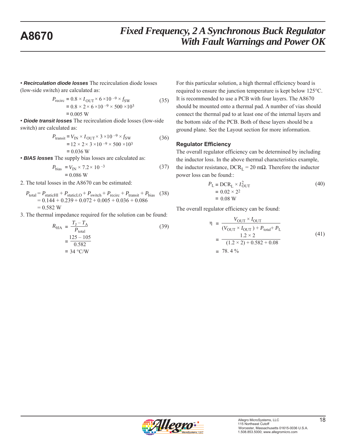• *Recirculation diode losses* The recirculation diode losses (low-side switch) are calculated as:

$$
P_{\text{receiver}} = 0.8 \times I_{\text{OUT}} \times 6 \times 10^{-9} \times f_{\text{SW}} = 0.8 \times 2 \times 6 \times 10^{-9} \times 500 \times 10^{3}
$$
 (35)

$$
= 0.005
$$
 W

• *Diode transit losses* The recirculation diode losses (low-side switch) are calculated as:

$$
P_{\text{transit}} = V_{\text{IN}} \times I_{\text{OUT}} \times 3 \times 10^{-9} \times f_{\text{SW}}= 12 \times 2 \times 3 \times 10^{-9} \times 500 \times 10^{3}= 0.036 \text{ W}
$$
 (36)

• *BIAS losses* The supply bias losses are calculated as:

$$
P_{bias} = V_{IN} \times 7.2 \times 10^{-3}
$$
  
= 0.086 W (37)

2. The total losses in the A8670 can be estimated:

$$
P_{\text{total}} = P_{\text{staticHH}} + P_{\text{staticLO}} + P_{\text{switch}} + P_{\text{recirc}} + P_{\text{transit}} + P_{\text{bias}} \quad (38)
$$
  
= 0.144 + 0.239 + 0.072 + 0.005 + 0.036 + 0.086  
= 0.582 W

3. The thermal impedance required for the solution can be found:

$$
R_{0JA} = \frac{T_J - T_A}{P_{\text{total}}}
$$
  
= 
$$
\frac{125 - 105}{0.582}
$$
  
= 
$$
34 \text{ °C/W}
$$
 (39)

For this particular solution, a high thermal efficiency board is required to ensure the junction temperature is kept below 125°C. It is recommended to use a PCB with four layers. The A8670 should be mounted onto a thermal pad. A number of vias should connect the thermal pad to at least one of the internal layers and the bottom side of the PCB. Both of these layers should be a ground plane. See the Layout section for more information.

#### **Regulator Efficiency**

The overall regulator efficiency can be determined by including the inductor loss. In the above thermal characteristics example, the inductor resistance,  $DCR<sub>L</sub> = 20$  mΩ. Therefore the inductor power loss can be found::

$$
P_{\text{L}} = \text{DCR}_{\text{L}} \times I_{\text{OUT}}^2
$$
  
= 0.02 × 2<sup>2</sup>  
= 0.08 W (40)

The overall regulator efficiency can be found:

$$
\eta = \frac{V_{\text{OUT}} \times I_{\text{OUT}}}{(V_{\text{OUT}} \times I_{\text{OUT}}) + P_{\text{total}} + P_{\text{L}}}
$$
  
= 
$$
\frac{1.2 \times 2}{(1.2 \times 2) + 0.582 + 0.08}
$$
  
= 78.4 % (41)

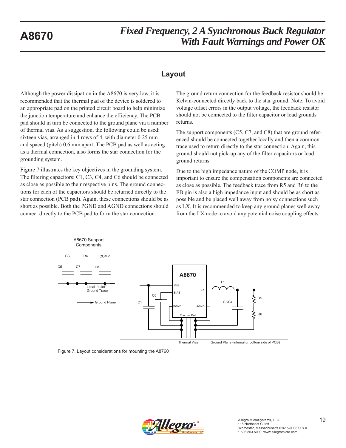### **Layout**

Although the power dissipation in the A8670 is very low, it is recommended that the thermal pad of the device is soldered to an appropriate pad on the printed circuit board to help minimize the junction temperature and enhance the efficiency. The PCB pad should in turn be connected to the ground plane via a number of thermal vias. As a suggestion, the following could be used: sixteen vias, arranged in 4 rows of 4, with diameter 0.25 mm and spaced (pitch) 0.6 mm apart. The PCB pad as well as acting as a thermal connection, also forms the star connection for the grounding system.

Figure 7 illustrates the key objectives in the grounding system. The filtering capacitors: C1, C3, C4, and C6 should be connected as close as possible to their respective pins. The ground connections for each of the capacitors should be returned directly to the star connection (PCB pad). Again, these connections should be as short as possible. Both the PGND and AGND connections should connect directly to the PCB pad to form the star connection.

The ground return connection for the feedback resistor should be Kelvin-connected directly back to the star ground. Note: To avoid voltage offset errors in the output voltage, the feedback resistor should not be connected to the filter capacitor or load grounds returns.

The support components (C5, C7, and C8) that are ground referenced should be connected together locally and then a common trace used to return directly to the star connection. Again, this ground should not pick-up any of the filter capacitors or load ground returns.

Due to the high impedance nature of the COMP node, it is important to ensure the compensation components are connected as close as possible. The feedback trace from R5 and R6 to the FB pin is also a high impedance input and should be as short as possible and be placed well away from noisy connections such as LX. It is recommended to keep any ground planes well away from the LX node to avoid any potential noise coupling effects.



Figure 7. Layout considerations for mounting the A8760

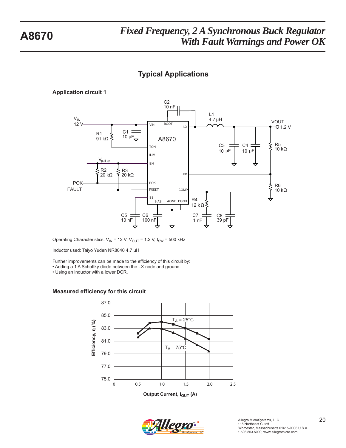### **Typical Applications**

### **Application circuit 1**



Operating Characteristics:  $V_{IN}$  = 12 V,  $V_{OUT}$  = 1.2 V,  $f_{SW}$  = 500 kHz

Inductor used: Taiyo Yuden NR8040 4.7 μH

Further improvements can be made to the efficiency of this circuit by:

• Adding a 1 A Schottky diode between the LX node and ground.

• Using an inductor with a lower DCR.



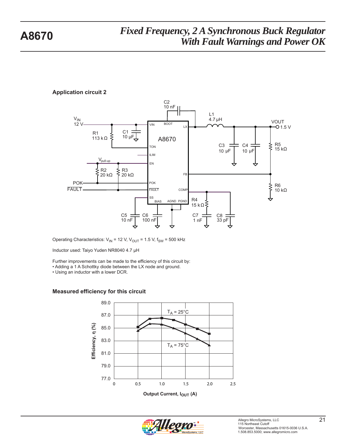### **Application circuit 2**



Operating Characteristics:  $V_{IN}$  = 12 V,  $V_{OUT}$  = 1.5 V,  $f_{SW}$  = 500 kHz

Inductor used: Taiyo Yuden NR8040 4.7 μH

Further improvements can be made to the efficiency of this circuit by:

• Adding a 1 A Schottky diode between the LX node and ground.

• Using an inductor with a lower DCR.



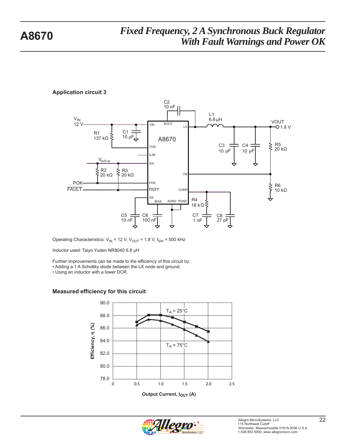### **Application circuit 3**



Operating Characteristics:  $V_{IN}$  = 12 V,  $V_{OUT}$  = 1.8 V,  $f_{SW}$  = 500 kHz

Inductor used: Taiyo Yuden NR8040 6.8 μH

Further improvements can be made to the efficiency of this circuit by:

• Adding a 1 A Schottky diode between the LX node and ground.

• Using an inductor with a lower DCR.



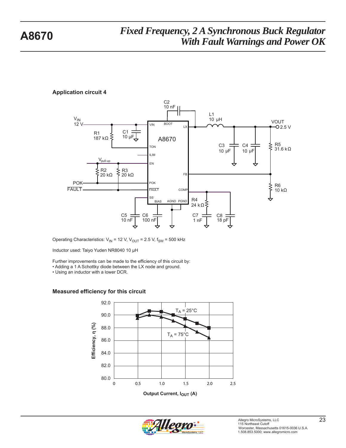### **Application circuit 4**



Operating Characteristics:  $V_{IN}$  = 12 V,  $V_{OUT}$  = 2.5 V,  $f_{SW}$  = 500 kHz

Inductor used: Taiyo Yuden NR8040 10 μH

Further improvements can be made to the efficiency of this circuit by:

• Adding a 1 A Schottky diode between the LX node and ground.

• Using an inductor with a lower DCR.



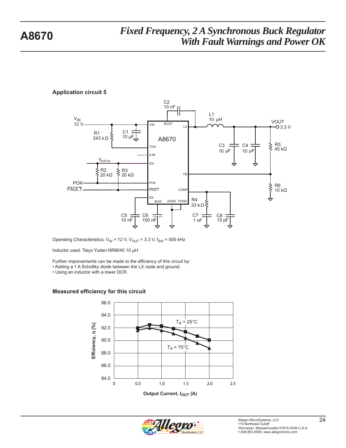### **Application circuit 5**



Operating Characteristics:  $V_{IN}$  = 12 V,  $V_{OUT}$  = 3.3 V,  $f_{SW}$  = 500 kHz

Inductor used: Taiyo Yuden NR8040 10 μH

Further improvements can be made to the efficiency of this circuit by:

• Adding a 1 A Schottky diode between the LX node and ground.

• Using an inductor with a lower DCR.



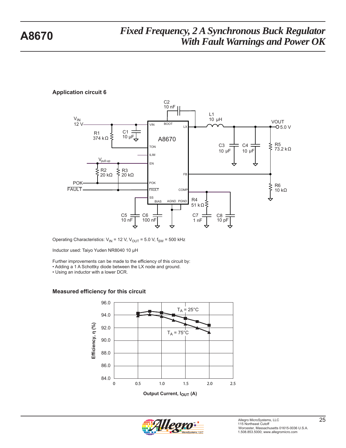### **Application circuit 6**



Operating Characteristics:  $V_{IN}$  = 12 V,  $V_{OUT}$  = 5.0 V,  $f_{SW}$  = 500 kHz

Inductor used: Taiyo Yuden NR8040 10 μH

Further improvements can be made to the efficiency of this circuit by:

• Adding a 1 A Schottky diode between the LX node and ground.

• Using an inductor with a lower DCR.



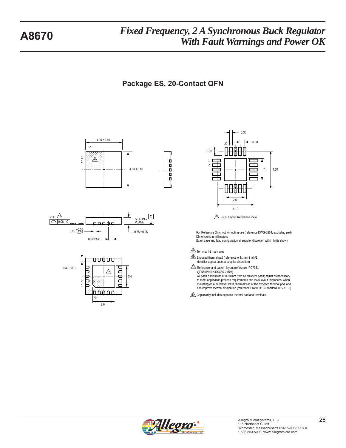**Package ES, 20-Contact QFN**









For Reference Only, not for tooling use (reference DWG-2864, excluding pad) Dimensions in millimeters Exact case and lead configuration at supplier discretion within limits shown

#### A Terminal #1 mark area

 $B\$ Exposed thermal pad (reference only, terminal #1 identifier appearance at supplier discretion)

 $\mathbb{C}\text{ }$  Reference land pattern layout (reference IPC7351 QFN50P400X400X80-21BM) All pads a minimum of 0.20 mm from all adjacent pads; adjust as necessary<br>to meet application process requirements and PCB layout tolerances; when<br>mounting on a multilayer PCB, thermal vias at the exposed thermal pad land<br>

 $D \cap C$  oplanarity includes exposed thermal pad and terminals